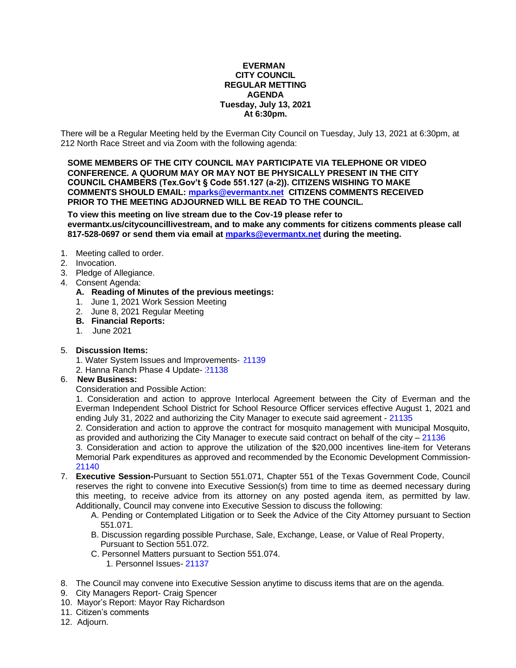#### **EVERMAN CITY COUNCIL REGULAR METTING AGENDA Tuesday, July 13, 2021 At 6:30pm.**

There will be a Regular Meeting held by the Everman City Council on Tuesday, July 13, 2021 at 6:30pm, at 212 North Race Street and via Zoom with the following agenda:

**SOME MEMBERS OF THE CITY COUNCIL MAY PARTICIPATE VIA TELEPHONE OR VIDEO CONFERENCE. A QUORUM MAY OR MAY NOT BE PHYSICALLY PRESENT IN THE CITY COUNCIL CHAMBERS (Tex.Gov't § Code 551.127 (a-2)). CITIZENS WISHING TO MAKE COMMENTS SHOULD EMAIL: [mparks@evermantx.net](mailto:mparks@evermantx.net) CITIZENS COMMENTS RECEIVED PRIOR TO THE MEETING ADJOURNED WILL BE READ TO THE COUNCIL.**

**To view this meeting on live stream due to the Cov-19 please refer to evermantx.us/citycouncillivestream, and to make any comments for citizens comments please call 817-528-0697 or send them via email at [mparks@evermantx.net](mailto:mparks@evermantx.net) during the meeting.**

- 1. Meeting called to order.
- 2. Invocation.
- 3. Pledge of Allegiance.
- 4. Consent Agenda:
	- **A. Reading of Minutes of the previous meetings:**
	- 1. June 1, 2021 Work Session Meeting
	- 2. June 8, 2021 Regular Meeting
	- **B. Financial Reports:**
	- 1. June 2021
- 5. **Discussion Items:**
	- 1. Water System Issues and Improvements- [21139](#page-16-0)
	- 2. Hanna Ranch Phase 4 Update- [21138](#page-17-0)

#### 6. **New Business:**

Consideration and Possible Action:

1. Consideration and action to approve Interlocal Agreement between the City of Everman and the Everman Independent School District for School Resource Officer services effective August 1, 2021 and ending July 31, 2022 and authorizing the City Manager to execute said agreement - [21135](#page-18-0)

2. Consideration and action to approve the contract for mosquito management with Municipal Mosquito, as provided and authorizing the City Manager to execute said contract on behalf of the city  $-21136$  $-21136$ 

3. Consideration and action to approve the utilization of the \$20,000 incentives line-item for Veterans Memorial Park expenditures as approved and recommended by the Economic Development Commission-[21140](#page-20-0)

- 7. **Executive Session-**Pursuant to Section 551.071, Chapter 551 of the Texas Government Code, Council reserves the right to convene into Executive Session(s) from time to time as deemed necessary during this meeting, to receive advice from its attorney on any posted agenda item, as permitted by law. Additionally, Council may convene into Executive Session to discuss the following:
	- A. Pending or Contemplated Litigation or to Seek the Advice of the City Attorney pursuant to Section 551.071.
	- B. Discussion regarding possible Purchase, Sale, Exchange, Lease, or Value of Real Property, Pursuant to Section 551.072.
	- C. Personnel Matters pursuant to Section 551.074.
		- 1. Personnel Issues- [21137](#page-22-0)
- 8. The Council may convene into Executive Session anytime to discuss items that are on the agenda.
- 9. City Managers Report- Craig Spencer
- 10. Mayor's Report: Mayor Ray Richardson
- 11. Citizen's comments
- 12. Adjourn.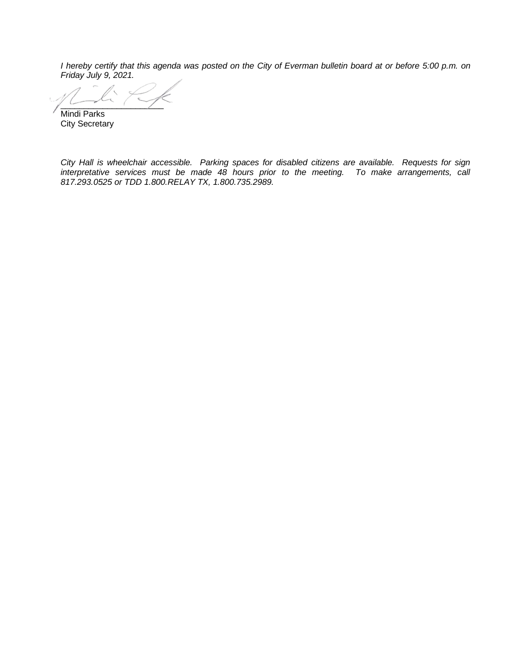*I hereby certify that this agenda was posted on the City of Everman bulletin board at or before 5:00 p.m. on Friday July 9, 2021.*

 $\sim$ Mindi Parks

City Secretary

*City Hall is wheelchair accessible. Parking spaces for disabled citizens are available. Requests for sign interpretative services must be made 48 hours prior to the meeting. To make arrangements, call 817.293.0525 or TDD 1.800.RELAY TX, 1.800.735.2989.*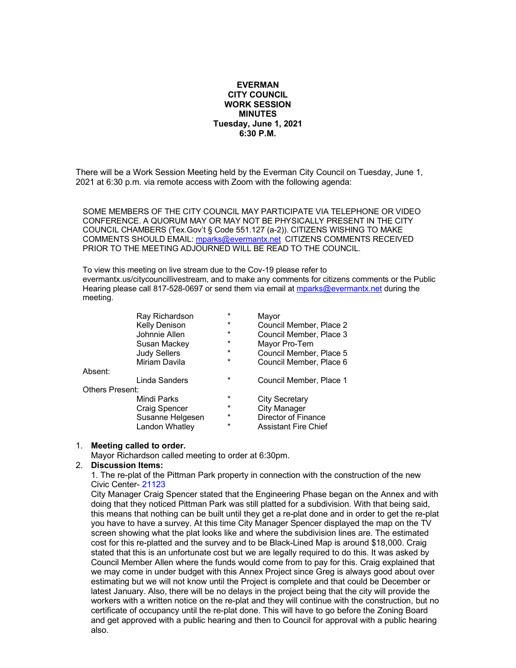#### **EVERMAN CITY COUNCIL WORK SESSION MINUTES Tuesday, June 1, 2021 6:30 P.M.**

There will be a Work Session Meeting held by the Everman City Council on Tuesday, June 1, 2021 at 6:30 p.m. via remote access with Zoom with the following agenda:

SOME MEMBERS OF THE CITY COUNCIL MAY PARTICIPATE VIA TELEPHONE OR VIDEO CONFERENCE. A QUORUM MAY OR MAY NOT BE PHYSICALLY PRESENT IN THE CITY COUNCIL CHAMBERS (Tex.Gov't § Code 551.127 (a-2)). CITIZENS WISHING TO MAKE COMMENTS SHOULD EMAIL: [mparks@evermantx.net](mailto:mparks@evermantx.net) CITIZENS COMMENTS RECEIVED PRIOR TO THE MEETING ADJOURNED WILL BE READ TO THE COUNCIL.

To view this meeting on live stream due to the Cov-19 please refer to evermantx.us/citycouncillivestream, and to make any comments for citizens comments or the Public Hearing please call 817-528-0697 or send them via email at [mparks@evermantx.net](mailto:mparks@evermantx.net) during the meeting.

|                        | Ray Richardson       | $\star$ | Mayor                       |
|------------------------|----------------------|---------|-----------------------------|
|                        | Kelly Denison        | $\star$ | Council Member, Place 2     |
|                        | Johnnie Allen        | $\star$ | Council Member, Place 3     |
|                        | Susan Mackey         | $\star$ | Mayor Pro-Tem               |
|                        | <b>Judy Sellers</b>  | $\star$ | Council Member, Place 5     |
|                        | Miriam Davila        | $\star$ | Council Member, Place 6     |
| Absent:                |                      |         |                             |
|                        | Linda Sanders        | $\star$ | Council Member, Place 1     |
| <b>Others Present:</b> |                      |         |                             |
|                        | Mindi Parks          | $\star$ | <b>City Secretary</b>       |
|                        | <b>Craig Spencer</b> | $\star$ | <b>City Manager</b>         |
|                        | Susanne Helgesen     | $\star$ | Director of Finance         |
|                        | Landon Whatley       | $\star$ | <b>Assistant Fire Chief</b> |
|                        |                      |         |                             |

#### 1. **Meeting called to order.**

Mayor Richardson called meeting to order at 6:30pm.

#### 2. **Discussion Items:**

1. The re-plat of the Pittman Park property in connection with the construction of the new Civic Center- 21123

City Manager Craig Spencer stated that the Engineering Phase began on the Annex and with doing that they noticed Pittman Park was still platted for a subdivision. With that being said, this means that nothing can be built until they get a re-plat done and in order to get the re-plat you have to have a survey. At this time City Manager Spencer displayed the map on the TV screen showing what the plat looks like and where the subdivision lines are. The estimated cost for this re-platted and the survey and to be Black-Lined Map is around \$18,000. Craig stated that this is an unfortunate cost but we are legally required to do this. It was asked by Council Member Allen where the funds would come from to pay for this. Craig explained that we may come in under budget with this Annex Project since Greg is always good about over estimating but we will not know until the Project is complete and that could be December or latest January. Also, there will be no delays in the project being that the city will provide the workers with a written notice on the re-plat and they will continue with the construction, but no certificate of occupancy until the re-plat done. This will have to go before the Zoning Board and get approved with a public hearing and then to Council for approval with a public hearing also.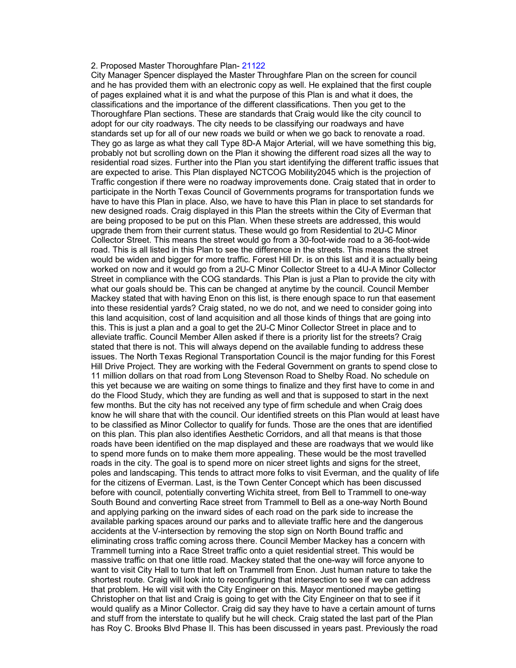#### 2. Proposed Master Thoroughfare Plan- 21122

City Manager Spencer displayed the Master Throughfare Plan on the screen for council and he has provided them with an electronic copy as well. He explained that the first couple of pages explained what it is and what the purpose of this Plan is and what it does, the classifications and the importance of the different classifications. Then you get to the Thoroughfare Plan sections. These are standards that Craig would like the city council to adopt for our city roadways. The city needs to be classifying our roadways and have standards set up for all of our new roads we build or when we go back to renovate a road. They go as large as what they call Type 8D-A Major Arterial, will we have something this big, probably not but scrolling down on the Plan it showing the different road sizes all the way to residential road sizes. Further into the Plan you start identifying the different traffic issues that are expected to arise. This Plan displayed NCTCOG Mobility2045 which is the projection of Traffic congestion if there were no roadway improvements done. Craig stated that in order to participate in the North Texas Council of Governments programs for transportation funds we have to have this Plan in place. Also, we have to have this Plan in place to set standards for new designed roads. Craig displayed in this Plan the streets within the City of Everman that are being proposed to be put on this Plan. When these streets are addressed, this would upgrade them from their current status. These would go from Residential to 2U-C Minor Collector Street. This means the street would go from a 30-foot-wide road to a 36-foot-wide road. This is all listed in this Plan to see the difference in the streets. This means the street would be widen and bigger for more traffic. Forest Hill Dr. is on this list and it is actually being worked on now and it would go from a 2U-C Minor Collector Street to a 4U-A Minor Collector Street in compliance with the COG standards. This Plan is just a Plan to provide the city with what our goals should be. This can be changed at anytime by the council. Council Member Mackey stated that with having Enon on this list, is there enough space to run that easement into these residential yards? Craig stated, no we do not, and we need to consider going into this land acquisition, cost of land acquisition and all those kinds of things that are going into this. This is just a plan and a goal to get the 2U-C Minor Collector Street in place and to alleviate traffic. Council Member Allen asked if there is a priority list for the streets? Craig stated that there is not. This will always depend on the available funding to address these issues. The North Texas Regional Transportation Council is the major funding for this Forest Hill Drive Project. They are working with the Federal Government on grants to spend close to 11 million dollars on that road from Long Stevenson Road to Shelby Road. No schedule on this yet because we are waiting on some things to finalize and they first have to come in and do the Flood Study, which they are funding as well and that is supposed to start in the next few months. But the city has not received any type of firm schedule and when Craig does know he will share that with the council. Our identified streets on this Plan would at least have to be classified as Minor Collector to qualify for funds. Those are the ones that are identified on this plan. This plan also identifies Aesthetic Corridors, and all that means is that those roads have been identified on the map displayed and these are roadways that we would like to spend more funds on to make them more appealing. These would be the most travelled roads in the city. The goal is to spend more on nicer street lights and signs for the street, poles and landscaping. This tends to attract more folks to visit Everman, and the quality of life for the citizens of Everman. Last, is the Town Center Concept which has been discussed before with council, potentially converting Wichita street, from Bell to Trammell to one-way South Bound and converting Race street from Trammell to Bell as a one-way North Bound and applying parking on the inward sides of each road on the park side to increase the available parking spaces around our parks and to alleviate traffic here and the dangerous accidents at the V-intersection by removing the stop sign on North Bound traffic and eliminating cross traffic coming across there. Council Member Mackey has a concern with Trammell turning into a Race Street traffic onto a quiet residential street. This would be massive traffic on that one little road. Mackey stated that the one-way will force anyone to want to visit City Hall to turn that left on Trammell from Enon. Just human nature to take the shortest route. Craig will look into to reconfiguring that intersection to see if we can address that problem. He will visit with the City Engineer on this. Mayor mentioned maybe getting Christopher on that list and Craig is going to get with the City Engineer on that to see if it would qualify as a Minor Collector. Craig did say they have to have a certain amount of turns and stuff from the interstate to qualify but he will check. Craig stated the last part of the Plan has Roy C. Brooks Blvd Phase II. This has been discussed in years past. Previously the road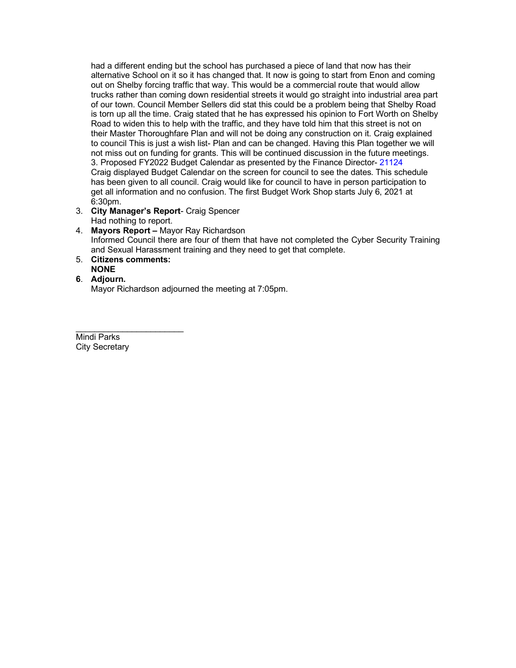had a different ending but the school has purchased a piece of land that now has their alternative School on it so it has changed that. It now is going to start from Enon and coming out on Shelby forcing traffic that way. This would be a commercial route that would allow trucks rather than coming down residential streets it would go straight into industrial area part of our town. Council Member Sellers did stat this could be a problem being that Shelby Road is torn up all the time. Craig stated that he has expressed his opinion to Fort Worth on Shelby Road to widen this to help with the traffic, and they have told him that this street is not on their Master Thoroughfare Plan and will not be doing any construction on it. Craig explained to council This is just a wish list- Plan and can be changed. Having this Plan together we will not miss out on funding for grants. This will be continued discussion in the future meetings. 3. Proposed FY2022 Budget Calendar as presented by the Finance Director- 21124 Craig displayed Budget Calendar on the screen for council to see the dates. This schedule has been given to all council. Craig would like for council to have in person participation to get all information and no confusion. The first Budget Work Shop starts July 6, 2021 at 6:30pm.

- 3. **City Manager's Report** Craig Spencer Had nothing to report.
- 4. **Mayors Report –** Mayor Ray Richardson Informed Council there are four of them that have not completed the Cyber Security Training and Sexual Harassment training and they need to get that complete.
- 5. **Citizens comments: NONE**
- **6**. **Adjourn.** Mayor Richardson adjourned the meeting at 7:05pm.

\_\_\_\_\_\_\_\_\_\_\_\_\_\_\_\_\_\_\_\_\_\_\_ Mindi Parks City Secretary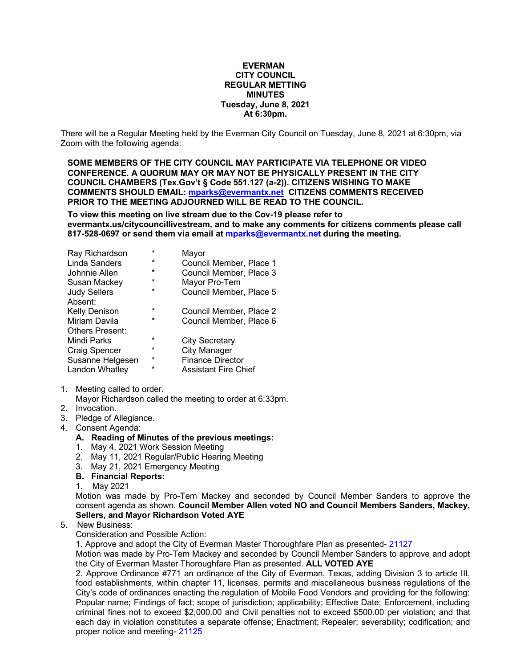#### **EVERMAN CITY COUNCIL REGULAR METTING MINUTES Tuesday, June 8, 2021 At 6:30pm.**

There will be a Regular Meeting held by the Everman City Council on Tuesday, June 8, 2021 at 6:30pm, via Zoom with the following agenda:

**SOME MEMBERS OF THE CITY COUNCIL MAY PARTICIPATE VIA TELEPHONE OR VIDEO CONFERENCE. A QUORUM MAY OR MAY NOT BE PHYSICALLY PRESENT IN THE CITY COUNCIL CHAMBERS (Tex.Gov't § Code 551.127 (a-2)). CITIZENS WISHING TO MAKE COMMENTS SHOULD EMAIL[: mparks@evermantx.net](mailto:mparks@evermantx.net) CITIZENS COMMENTS RECEIVED PRIOR TO THE MEETING ADJOURNED WILL BE READ TO THE COUNCIL.**

**To view this meeting on live stream due to the Cov-19 please refer to evermantx.us/citycouncillivestream, and to make any comments for citizens comments please call 817-528-0697 or send them via email a[t mparks@evermantx.net](mailto:mparks@evermantx.net) during the meeting.**

| Ray Richardson         | $\star$ | Mayor                       |
|------------------------|---------|-----------------------------|
| Linda Sanders          | $\star$ | Council Member, Place 1     |
| Johnnie Allen          | $\star$ | Council Member, Place 3     |
| Susan Mackey           | $\star$ | Mayor Pro-Tem               |
| <b>Judy Sellers</b>    | $\star$ | Council Member, Place 5     |
| Absent:                |         |                             |
| Kelly Denison          | $\star$ | Council Member, Place 2     |
| Miriam Davila          | $\star$ | Council Member, Place 6     |
| <b>Others Present:</b> |         |                             |
| Mindi Parks            | $\star$ | <b>City Secretary</b>       |
| Craig Spencer          | $\star$ | <b>City Manager</b>         |
| Susanne Helgesen       | $\star$ | <b>Finance Director</b>     |
| Landon Whatley         | *       | <b>Assistant Fire Chief</b> |
|                        |         |                             |

- 1. Meeting called to order.
- Mayor Richardson called the meeting to order at 6:33pm.
- 2. Invocation.
- 3. Pledge of Allegiance.
- 4. Consent Agenda:

#### **A. Reading of Minutes of the previous meetings:**

- 1. May 4, 2021 Work Session Meeting
- 2. May 11, 2021 Regular/Public Hearing Meeting
- 3. May 21, 2021 Emergency Meeting
- **B. Financial Reports:**
- 1. May 2021

Motion was made by Pro-Tem Mackey and seconded by Council Member Sanders to approve the consent agenda as shown. **Council Member Allen voted NO and Council Members Sanders, Mackey, Sellers, and Mayor Richardson Voted AYE**

#### 5. New Business:

Consideration and Possible Action:

1. Approve and adopt the City of Everman Master Thoroughfare Plan as presented- 21127

Motion was made by Pro-Tem Mackey and seconded by Council Member Sanders to approve and adopt the City of Everman Master Thoroughfare Plan as presented. **ALL VOTED AYE**

2. Approve Ordinance #771 an ordinance of the City of Everman, Texas, adding Division 3 to article III, food establishments, within chapter 11, licenses, permits and miscellaneous business regulations of the City's code of ordinances enacting the regulation of Mobile Food Vendors and providing for the following: Popular name; Findings of fact; scope of jurisdiction; applicability; Effective Date; Enforcement, including criminal fines not to exceed \$2,000.00 and Civil penalties not to exceed \$500.00 per violation; and that each day in violation constitutes a separate offense; Enactment; Repealer; severability; codification; and proper notice and meeting- 21125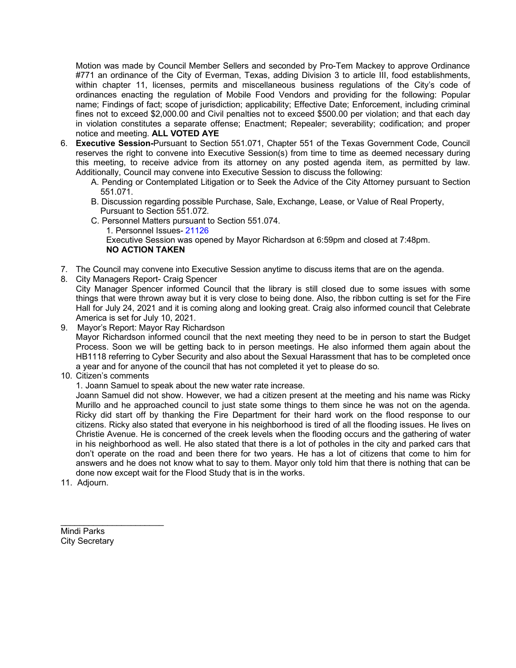Motion was made by Council Member Sellers and seconded by Pro-Tem Mackey to approve Ordinance #771 an ordinance of the City of Everman, Texas, adding Division 3 to article III, food establishments, within chapter 11, licenses, permits and miscellaneous business regulations of the City's code of ordinances enacting the regulation of Mobile Food Vendors and providing for the following: Popular name; Findings of fact; scope of jurisdiction; applicability; Effective Date; Enforcement, including criminal fines not to exceed \$2,000.00 and Civil penalties not to exceed \$500.00 per violation; and that each day in violation constitutes a separate offense; Enactment; Repealer; severability; codification; and proper notice and meeting. **ALL VOTED AYE**

- 6. **Executive Session-**Pursuant to Section 551.071, Chapter 551 of the Texas Government Code, Council reserves the right to convene into Executive Session(s) from time to time as deemed necessary during this meeting, to receive advice from its attorney on any posted agenda item, as permitted by law. Additionally, Council may convene into Executive Session to discuss the following:
	- A. Pending or Contemplated Litigation or to Seek the Advice of the City Attorney pursuant to Section 551.071.
	- B. Discussion regarding possible Purchase, Sale, Exchange, Lease, or Value of Real Property, Pursuant to Section 551.072.
	- C. Personnel Matters pursuant to Section 551.074.
		- 1. Personnel Issues- 21126

Executive Session was opened by Mayor Richardson at 6:59pm and closed at 7:48pm. **NO ACTION TAKEN**

- 7. The Council may convene into Executive Session anytime to discuss items that are on the agenda.
- 8. City Managers Report- Craig Spencer

City Manager Spencer informed Council that the library is still closed due to some issues with some things that were thrown away but it is very close to being done. Also, the ribbon cutting is set for the Fire Hall for July 24, 2021 and it is coming along and looking great. Craig also informed council that Celebrate America is set for July 10, 2021.

9. Mayor's Report: Mayor Ray Richardson

Mayor Richardson informed council that the next meeting they need to be in person to start the Budget Process. Soon we will be getting back to in person meetings. He also informed them again about the HB1118 referring to Cyber Security and also about the Sexual Harassment that has to be completed once a year and for anyone of the council that has not completed it yet to please do so.

10. Citizen's comments

1. Joann Samuel to speak about the new water rate increase.

Joann Samuel did not show. However, we had a citizen present at the meeting and his name was Ricky Murillo and he approached council to just state some things to them since he was not on the agenda. Ricky did start off by thanking the Fire Department for their hard work on the flood response to our citizens. Ricky also stated that everyone in his neighborhood is tired of all the flooding issues. He lives on Christie Avenue. He is concerned of the creek levels when the flooding occurs and the gathering of water in his neighborhood as well. He also stated that there is a lot of potholes in the city and parked cars that don't operate on the road and been there for two years. He has a lot of citizens that come to him for answers and he does not know what to say to them. Mayor only told him that there is nothing that can be done now except wait for the Flood Study that is in the works.

11. Adjourn.

Mindi Parks City Secretary

\_\_\_\_\_\_\_\_\_\_\_\_\_\_\_\_\_\_\_\_\_\_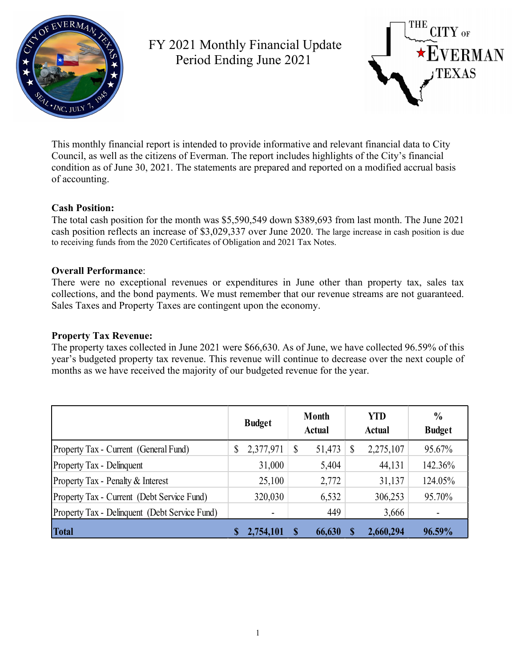

FY 2021 Monthly Financial Update Period Ending June 2021



This monthly financial report is intended to provide informative and relevant financial data to City Council, as well as the citizens of Everman. The report includes highlights of the City's financial condition as of June 30, 2021. The statements are prepared and reported on a modified accrual basis of accounting.

### **Cash Position:**

The total cash position for the month was \$5,590,549 down \$389,693 from last month. The June 2021 cash position reflects an increase of \$3,029,337 over June 2020. The large increase in cash position is due to receiving funds from the 2020 Certificates of Obligation and 2021 Tax Notes.

### **Overall Performance**:

There were no exceptional revenues or expenditures in June other than property tax, sales tax collections, and the bond payments. We must remember that our revenue streams are not guaranteed. Sales Taxes and Property Taxes are contingent upon the economy.

#### **Property Tax Revenue:**

The property taxes collected in June 2021 were \$66,630. As of June, we have collected 96.59% of this year's budgeted property tax revenue. This revenue will continue to decrease over the next couple of months as we have received the majority of our budgeted revenue for the year.

|                                               | <b>Budget</b>   | <b>Month</b><br><b>Actual</b> | <b>YTD</b><br><b>Actual</b> | $\frac{0}{0}$<br><b>Budget</b> |
|-----------------------------------------------|-----------------|-------------------------------|-----------------------------|--------------------------------|
| Property Tax - Current (General Fund)         | \$<br>2,377,971 | \$<br>51,473                  | \$<br>2,275,107             | 95.67%                         |
| Property Tax - Delinquent                     | 31,000          | 5,404                         | 44,131                      | 142.36%                        |
| Property Tax - Penalty & Interest             | 25,100          | 2,772                         | 31,137                      | 124.05%                        |
| Property Tax - Current (Debt Service Fund)    | 320,030         | 6,532                         | 306,253                     | 95.70%                         |
| Property Tax - Delinquent (Debt Service Fund) |                 | 449                           | 3,666                       |                                |
| <b>Total</b>                                  | 2,754,101       | 66,630                        | 2,660,294                   | 96.59%                         |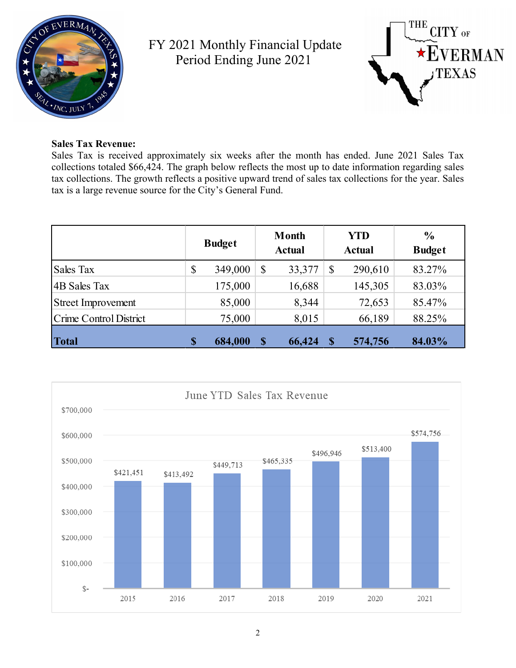

FY 2021 Monthly Financial Update Period Ending June 2021



### **Sales Tax Revenue:**

Sales Tax is received approximately six weeks after the month has ended. June 2021 Sales Tax collections totaled \$66,424. The graph below reflects the most up to date information regarding sales tax collections. The growth reflects a positive upward trend of sales tax collections for the year. Sales tax is a large revenue source for the City's General Fund.

|                           | <b>Budget</b> |         | <b>Month</b><br><b>Actual</b> |        |               | <b>YTD</b><br><b>Actual</b> | $\frac{6}{6}$<br><b>Budget</b> |
|---------------------------|---------------|---------|-------------------------------|--------|---------------|-----------------------------|--------------------------------|
| Sales Tax                 | \$            | 349,000 | $\mathcal{S}$                 | 33,377 | $\mathbb{S}$  | 290,610                     | 83.27%                         |
| 4B Sales Tax              |               | 175,000 |                               | 16,688 |               | 145,305                     | 83.03%                         |
| <b>Street Improvement</b> |               | 85,000  |                               | 8,344  |               | 72,653                      | 85.47%                         |
| Crime Control District    |               | 75,000  |                               | 8,015  |               | 66,189                      | 88.25%                         |
| Total                     | $\mathbf S$   | 684,000 | $\boldsymbol{\$}$             | 66,424 | <sup>\$</sup> | 574,756                     | 84.03%                         |

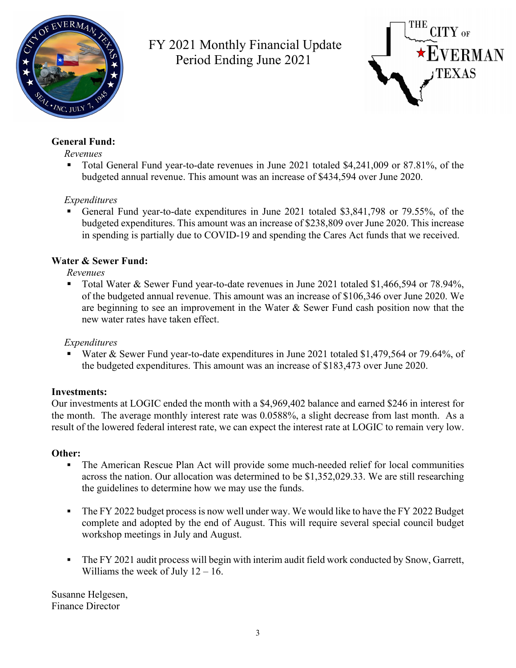

FY 2021 Monthly Financial Update Period Ending June 2021



## **General Fund:**

#### *Revenues*

■ Total General Fund year-to-date revenues in June 2021 totaled \$4,241,009 or 87.81%, of the budgeted annual revenue. This amount was an increase of \$434,594 over June 2020.

# *Expenditures*

 General Fund year-to-date expenditures in June 2021 totaled \$3,841,798 or 79.55%, of the budgeted expenditures. This amount was an increase of \$238,809 over June 2020. This increase in spending is partially due to COVID-19 and spending the Cares Act funds that we received.

# **Water & Sewer Fund:**

*Revenues*

 Total Water & Sewer Fund year-to-date revenues in June 2021 totaled \$1,466,594 or 78.94%, of the budgeted annual revenue. This amount was an increase of \$106,346 over June 2020. We are beginning to see an improvement in the Water & Sewer Fund cash position now that the new water rates have taken effect.

# *Expenditures*

 Water & Sewer Fund year-to-date expenditures in June 2021 totaled \$1,479,564 or 79.64%, of the budgeted expenditures. This amount was an increase of \$183,473 over June 2020.

## **Investments:**

Our investments at LOGIC ended the month with a \$4,969,402 balance and earned \$246 in interest for the month. The average monthly interest rate was 0.0588%, a slight decrease from last month. As a result of the lowered federal interest rate, we can expect the interest rate at LOGIC to remain very low.

## **Other:**

- The American Rescue Plan Act will provide some much-needed relief for local communities across the nation. Our allocation was determined to be \$1,352,029.33. We are still researching the guidelines to determine how we may use the funds.
- The FY 2022 budget process is now well under way. We would like to have the FY 2022 Budget complete and adopted by the end of August. This will require several special council budget workshop meetings in July and August.
- The FY 2021 audit process will begin with interim audit field work conducted by Snow, Garrett, Williams the week of July  $12 - 16$ .

Susanne Helgesen, Finance Director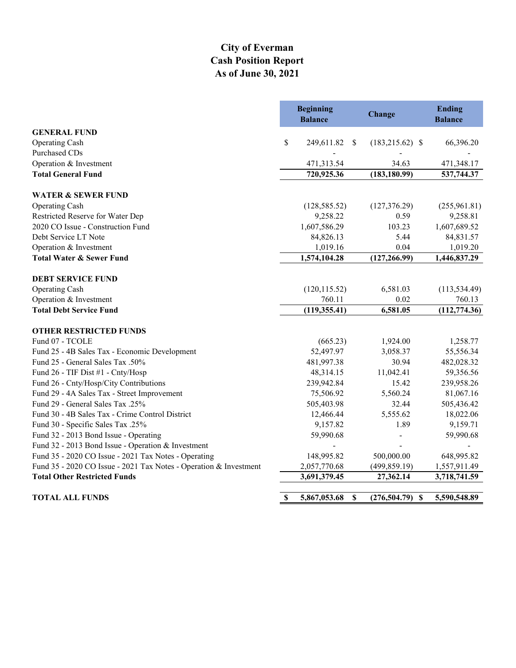# **City of Everman Cash Position Report As of June 30, 2021**

|                                                                   | <b>Balance</b> | <b>Beginning</b> | Change                  | <b>Ending</b><br><b>Balance</b> |
|-------------------------------------------------------------------|----------------|------------------|-------------------------|---------------------------------|
| <b>GENERAL FUND</b>                                               |                |                  |                         |                                 |
| <b>Operating Cash</b>                                             | \$             | 249,611.82       | $(183,215.62)$ \$<br>-S | 66,396.20                       |
| <b>Purchased CDs</b>                                              |                |                  |                         |                                 |
| Operation & Investment                                            |                | 471,313.54       | 34.63                   | 471,348.17                      |
| <b>Total General Fund</b>                                         |                | 720,925.36       | (183, 180.99)           | 537,744.37                      |
| <b>WATER &amp; SEWER FUND</b>                                     |                |                  |                         |                                 |
| <b>Operating Cash</b>                                             |                | (128, 585.52)    | (127, 376.29)           | (255,961.81)                    |
| Restricted Reserve for Water Dep                                  |                | 9,258.22         | 0.59                    | 9,258.81                        |
| 2020 CO Issue - Construction Fund                                 |                | 1,607,586.29     | 103.23                  | 1,607,689.52                    |
| Debt Service LT Note                                              |                | 84,826.13        | 5.44                    | 84,831.57                       |
| Operation & Investment                                            |                | 1,019.16         | 0.04                    | 1,019.20                        |
| <b>Total Water &amp; Sewer Fund</b>                               |                | 1,574,104.28     | (127, 266.99)           | 1,446,837.29                    |
| <b>DEBT SERVICE FUND</b>                                          |                |                  |                         |                                 |
| Operating Cash                                                    |                | (120, 115.52)    | 6,581.03                | (113, 534.49)                   |
| Operation & Investment                                            |                | 760.11           | 0.02                    | 760.13                          |
| <b>Total Debt Service Fund</b>                                    |                | (119, 355.41)    | 6,581.05                | (112, 774.36)                   |
| <b>OTHER RESTRICTED FUNDS</b>                                     |                |                  |                         |                                 |
| Fund 07 - TCOLE                                                   |                | (665.23)         | 1,924.00                | 1,258.77                        |
| Fund 25 - 4B Sales Tax - Economic Development                     |                | 52,497.97        | 3,058.37                | 55,556.34                       |
| Fund 25 - General Sales Tax .50%                                  |                | 481,997.38       | 30.94                   | 482,028.32                      |
| Fund 26 - TIF Dist #1 - Cnty/Hosp                                 |                | 48,314.15        | 11,042.41               | 59,356.56                       |
| Fund 26 - Cnty/Hosp/City Contributions                            |                | 239,942.84       | 15.42                   | 239,958.26                      |
| Fund 29 - 4A Sales Tax - Street Improvement                       |                | 75,506.92        | 5,560.24                | 81,067.16                       |
| Fund 29 - General Sales Tax .25%                                  |                | 505,403.98       | 32.44                   | 505,436.42                      |
| Fund 30 - 4B Sales Tax - Crime Control District                   |                | 12,466.44        | 5,555.62                | 18,022.06                       |
| Fund 30 - Specific Sales Tax .25%                                 |                | 9,157.82         | 1.89                    | 9,159.71                        |
| Fund 32 - 2013 Bond Issue - Operating                             |                | 59,990.68        |                         | 59,990.68                       |
| Fund 32 - 2013 Bond Issue - Operation & Investment                |                |                  |                         |                                 |
| Fund 35 - 2020 CO Issue - 2021 Tax Notes - Operating              |                | 148,995.82       | 500,000.00              | 648,995.82                      |
| Fund 35 - 2020 CO Issue - 2021 Tax Notes - Operation & Investment |                | 2,057,770.68     | (499, 859.19)           | 1,557,911.49                    |
| <b>Total Other Restricted Funds</b>                               |                | 3,691,379.45     | 27,362.14               | 3,718,741.59                    |
| <b>TOTAL ALL FUNDS</b>                                            | \$             | 5,867,053.68     | \$<br>$(276,504.79)$ \$ | 5,590,548.89                    |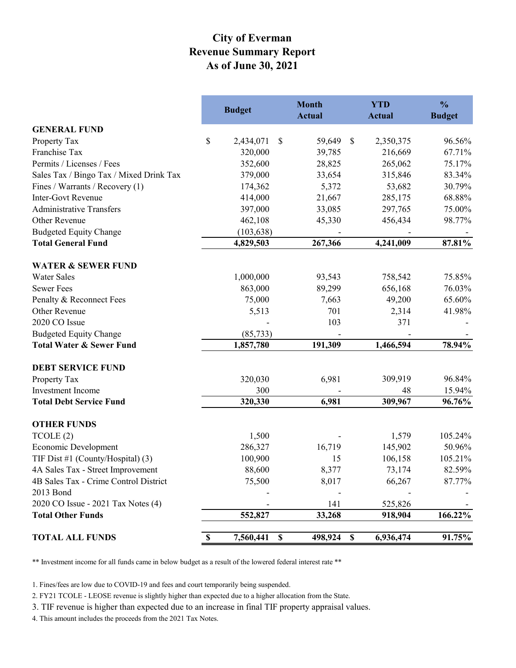# **City of Everman Revenue Summary Report As of June 30, 2021**

|                                         | <b>Budget</b>   | <b>Month</b><br><b>Actual</b> | <b>YTD</b><br><b>Actual</b>            | $\frac{0}{0}$<br><b>Budget</b> |
|-----------------------------------------|-----------------|-------------------------------|----------------------------------------|--------------------------------|
| <b>GENERAL FUND</b>                     |                 |                               |                                        |                                |
| Property Tax                            | \$<br>2,434,071 | \$<br>59,649                  | $\boldsymbol{\mathsf{S}}$<br>2,350,375 | 96.56%                         |
| Franchise Tax                           | 320,000         | 39,785                        | 216,669                                | 67.71%                         |
| Permits / Licenses / Fees               | 352,600         | 28,825                        | 265,062                                | 75.17%                         |
| Sales Tax / Bingo Tax / Mixed Drink Tax | 379,000         | 33,654                        | 315,846                                | 83.34%                         |
| Fines / Warrants / Recovery (1)         | 174,362         | 5,372                         | 53,682                                 | 30.79%                         |
| <b>Inter-Govt Revenue</b>               | 414,000         | 21,667                        | 285,175                                | 68.88%                         |
| <b>Administrative Transfers</b>         | 397,000         | 33,085                        | 297,765                                | 75.00%                         |
| Other Revenue                           | 462,108         | 45,330                        | 456,434                                | 98.77%                         |
| <b>Budgeted Equity Change</b>           | (103, 638)      |                               |                                        |                                |
| <b>Total General Fund</b>               | 4,829,503       | 267,366                       | 4,241,009                              | 87.81%                         |
| <b>WATER &amp; SEWER FUND</b>           |                 |                               |                                        |                                |
| <b>Water Sales</b>                      | 1,000,000       | 93,543                        | 758,542                                | 75.85%                         |
| <b>Sewer Fees</b>                       | 863,000         | 89,299                        | 656,168                                | 76.03%                         |
| Penalty & Reconnect Fees                | 75,000          | 7,663                         | 49,200                                 | 65.60%                         |
| Other Revenue                           | 5,513           | 701                           | 2,314                                  | 41.98%                         |
| 2020 CO Issue                           |                 | 103                           | 371                                    |                                |
| <b>Budgeted Equity Change</b>           | (85, 733)       |                               |                                        |                                |
| <b>Total Water &amp; Sewer Fund</b>     | 1,857,780       | 191,309                       | 1,466,594                              | 78.94%                         |
| <b>DEBT SERVICE FUND</b>                |                 |                               |                                        |                                |
| Property Tax                            | 320,030         | 6,981                         | 309,919                                | 96.84%                         |
| Investment Income                       | 300             |                               | 48                                     | 15.94%                         |
| <b>Total Debt Service Fund</b>          | 320,330         | 6,981                         | 309,967                                | 96.76%                         |
| <b>OTHER FUNDS</b>                      |                 |                               |                                        |                                |
| TCOLE(2)                                | 1,500           |                               | 1,579                                  | 105.24%                        |
| Economic Development                    | 286,327         | 16,719                        | 145,902                                | 50.96%                         |
| TIF Dist #1 (County/Hospital) (3)       | 100,900         | 15                            | 106,158                                | 105.21%                        |
| 4A Sales Tax - Street Improvement       | 88,600          | 8,377                         | 73,174                                 | 82.59%                         |
| 4B Sales Tax - Crime Control District   | 75,500          | 8,017                         | 66,267                                 | 87.77%                         |
| 2013 Bond                               |                 |                               |                                        |                                |
| 2020 CO Issue - 2021 Tax Notes (4)      |                 | 141                           | 525,826                                |                                |
| <b>Total Other Funds</b>                | 552,827         | 33,268                        | 918,904                                | 166.22%                        |
| <b>TOTAL ALL FUNDS</b>                  | 7,560,441<br>\$ | 498,924<br>$\mathbf S$        | $\boldsymbol{\mathsf{S}}$<br>6,936,474 | 91.75%                         |

\*\* Investment income for all funds came in below budget as a result of the lowered federal interest rate \*\*

1. Fines/fees are low due to COVID-19 and fees and court temporarily being suspended.

2. FY21 TCOLE - LEOSE revenue is slightly higher than expected due to a higher allocation from the State.

3. TIF revenue is higher than expected due to an increase in final TIF property appraisal values.

4. This amount includes the proceeds from the 2021 Tax Notes.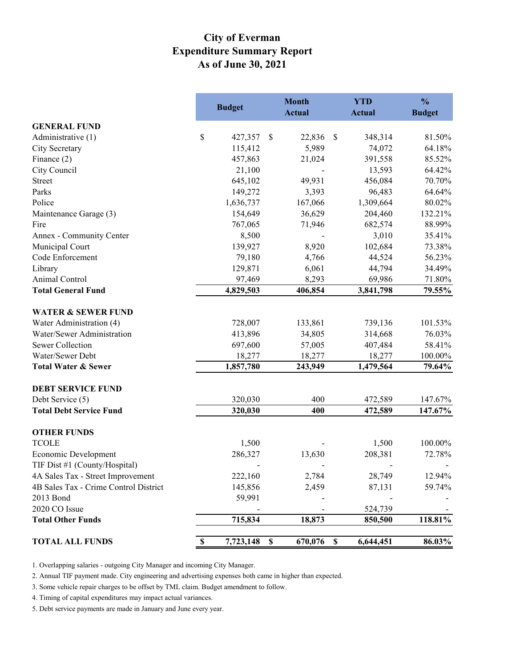# **Expenditure Summary Report As of June 30, 2021 City of Everman**

|                                       |             | <b>Budget</b> |               | <b>Month</b><br><b>Actual</b> |               | <b>YTD</b><br><b>Actual</b> | $\frac{0}{0}$<br><b>Budget</b> |
|---------------------------------------|-------------|---------------|---------------|-------------------------------|---------------|-----------------------------|--------------------------------|
| <b>GENERAL FUND</b>                   |             |               |               |                               |               |                             |                                |
| Administrative (1)                    | \$          | 427,357       | \$            | 22,836                        | $\mathbb{S}$  | 348,314                     | 81.50%                         |
| City Secretary                        |             | 115,412       |               | 5,989                         |               | 74,072                      | 64.18%                         |
| Finance $(2)$                         |             | 457,863       |               | 21,024                        |               | 391,558                     | 85.52%                         |
| City Council                          |             | 21,100        |               |                               |               | 13,593                      | 64.42%                         |
| <b>Street</b>                         |             | 645,102       |               | 49,931                        |               | 456,084                     | 70.70%                         |
| Parks                                 |             | 149,272       |               | 3,393                         |               | 96,483                      | 64.64%                         |
| Police                                |             | 1,636,737     |               | 167,066                       |               | 1,309,664                   | 80.02%                         |
| Maintenance Garage (3)                |             | 154,649       |               | 36,629                        |               | 204,460                     | 132.21%                        |
| Fire                                  |             | 767,065       |               | 71,946                        |               | 682,574                     | 88.99%                         |
| Annex - Community Center              |             | 8,500         |               |                               |               | 3,010                       | 35.41%                         |
| Municipal Court                       |             | 139,927       |               | 8,920                         |               | 102,684                     | 73.38%                         |
| Code Enforcement                      |             | 79,180        |               | 4,766                         |               | 44,524                      | 56.23%                         |
| Library                               |             | 129,871       |               | 6,061                         |               | 44,794                      | 34.49%                         |
| Animal Control                        |             | 97,469        |               | 8,293                         |               | 69,986                      | 71.80%                         |
| <b>Total General Fund</b>             |             | 4,829,503     |               | 406,854                       |               | 3,841,798                   | 79.55%                         |
| <b>WATER &amp; SEWER FUND</b>         |             |               |               |                               |               |                             |                                |
| Water Administration (4)              |             | 728,007       |               | 133,861                       |               | 739,136                     | 101.53%                        |
| Water/Sewer Administration            |             | 413,896       |               | 34,805                        |               | 314,668                     | 76.03%                         |
| Sewer Collection                      |             | 697,600       |               | 57,005                        |               | 407,484                     | 58.41%                         |
| Water/Sewer Debt                      |             | 18,277        |               | 18,277                        |               | 18,277                      | 100.00%                        |
| <b>Total Water &amp; Sewer</b>        |             | 1,857,780     |               | 243,949                       |               | 1,479,564                   | 79.64%                         |
| <b>DEBT SERVICE FUND</b>              |             |               |               |                               |               |                             |                                |
| Debt Service (5)                      |             | 320,030       |               | 400                           |               | 472,589                     | 147.67%                        |
| <b>Total Debt Service Fund</b>        |             | 320,030       |               | 400                           |               | 472,589                     | 147.67%                        |
| <b>OTHER FUNDS</b>                    |             |               |               |                               |               |                             |                                |
| <b>TCOLE</b>                          |             | 1,500         |               |                               |               | 1,500                       | 100.00%                        |
| Economic Development                  |             | 286,327       |               | 13,630                        |               | 208,381                     | 72.78%                         |
| TIF Dist #1 (County/Hospital)         |             |               |               |                               |               |                             |                                |
| 4A Sales Tax - Street Improvement     |             | 222,160       |               | 2,784                         |               | 28,749                      | 12.94%                         |
| 4B Sales Tax - Crime Control District |             | 145,856       |               | 2,459                         |               | 87,131                      | 59.74%                         |
| 2013 Bond                             |             | 59,991        |               |                               |               |                             |                                |
| 2020 CO Issue                         |             |               |               |                               |               | 524,739                     |                                |
| <b>Total Other Funds</b>              |             | 715,834       |               | 18,873                        |               | 850,500                     | 118.81%                        |
| <b>TOTAL ALL FUNDS</b>                | $\mathbb S$ | 7,723,148     | $\mathbf{\$}$ | 670,076                       | $\mathbf{\$}$ | 6,644,451                   | 86.03%                         |

1. Overlapping salaries - outgoing City Manager and incoming City Manager.

2. Annual TIF payment made. City engineering and advertising expenses both came in higher than expected.

3. Some vehicle repair charges to be offset by TML claim. Budget amendment to follow.

4. Timing of capital expenditures may impact actual variances.

5. Debt service payments are made in January and June every year.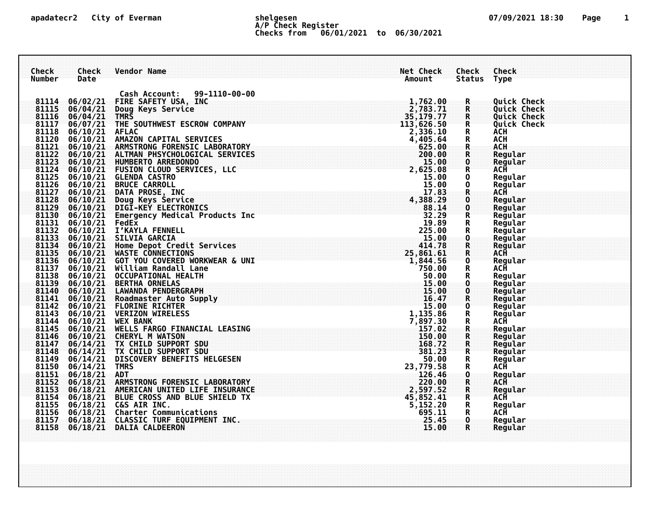## **apadatecr2 City of Everman shelgesen 07/09/2021 18:30 Page 1 A/P Check Register Checks from 06/01/2021 to 06/30/2021**

| Check<br><b>Number</b> | Check<br>Date      | <b>Vendor Name</b>                                                                                                                                                    |                                                                                                                                                                                                                                                                                | Net Check<br>Amount | Check<br>Status Type                   | <b>Check</b>               |
|------------------------|--------------------|-----------------------------------------------------------------------------------------------------------------------------------------------------------------------|--------------------------------------------------------------------------------------------------------------------------------------------------------------------------------------------------------------------------------------------------------------------------------|---------------------|----------------------------------------|----------------------------|
|                        |                    |                                                                                                                                                                       |                                                                                                                                                                                                                                                                                |                     |                                        |                            |
|                        |                    | Cash Account: 99-1110-00-00                                                                                                                                           |                                                                                                                                                                                                                                                                                |                     |                                        |                            |
|                        |                    |                                                                                                                                                                       |                                                                                                                                                                                                                                                                                |                     | $\mathbf R$                            | <b>Quick Check</b>         |
|                        |                    |                                                                                                                                                                       |                                                                                                                                                                                                                                                                                |                     | ${\sf R}$                              | <b>Quick Check</b>         |
|                        |                    |                                                                                                                                                                       |                                                                                                                                                                                                                                                                                |                     | $\mathbf R$<br>$\mathbf R$             | Quick Check<br>Quick Check |
|                        |                    |                                                                                                                                                                       |                                                                                                                                                                                                                                                                                |                     | $\mathbf R$                            | <b>ACH</b>                 |
|                        |                    |                                                                                                                                                                       |                                                                                                                                                                                                                                                                                |                     |                                        | <b>ACH</b>                 |
|                        |                    |                                                                                                                                                                       |                                                                                                                                                                                                                                                                                |                     | R                                      | <b>ACH</b>                 |
|                        |                    |                                                                                                                                                                       |                                                                                                                                                                                                                                                                                |                     | ${\bf R}$                              | Regular                    |
|                        |                    |                                                                                                                                                                       |                                                                                                                                                                                                                                                                                |                     | $\mathbf 0$                            | Regular                    |
|                        |                    |                                                                                                                                                                       |                                                                                                                                                                                                                                                                                |                     | $\tilde{R}$                            | <b>ACH</b>                 |
|                        |                    |                                                                                                                                                                       |                                                                                                                                                                                                                                                                                |                     | $\mathbf 0$                            | Regular                    |
|                        |                    |                                                                                                                                                                       |                                                                                                                                                                                                                                                                                |                     | $\mathbf 0$                            | Regular                    |
|                        |                    |                                                                                                                                                                       |                                                                                                                                                                                                                                                                                |                     | $\overline{\mathbf{R}}$<br>$\mathbf 0$ | ACH<br>Regular             |
|                        |                    |                                                                                                                                                                       |                                                                                                                                                                                                                                                                                |                     | $\mathbf 0$                            | Regular                    |
|                        |                    |                                                                                                                                                                       |                                                                                                                                                                                                                                                                                |                     | ${\bf R}$                              | Regular                    |
|                        |                    |                                                                                                                                                                       |                                                                                                                                                                                                                                                                                |                     | $\mathbf R$                            | Regular                    |
|                        |                    |                                                                                                                                                                       |                                                                                                                                                                                                                                                                                |                     | $\mathbf R$                            | Regular                    |
|                        |                    |                                                                                                                                                                       |                                                                                                                                                                                                                                                                                |                     | $\bullet$                              | Regular                    |
|                        |                    |                                                                                                                                                                       |                                                                                                                                                                                                                                                                                |                     | ${\bf R}$                              | Regular                    |
|                        |                    |                                                                                                                                                                       |                                                                                                                                                                                                                                                                                |                     | $\mathbf R$                            | ACH                        |
|                        |                    |                                                                                                                                                                       |                                                                                                                                                                                                                                                                                |                     | $\mathbf{0}$<br>R                      | Regular<br>ACĤ             |
|                        |                    |                                                                                                                                                                       |                                                                                                                                                                                                                                                                                |                     | R                                      | Regular                    |
|                        |                    |                                                                                                                                                                       |                                                                                                                                                                                                                                                                                |                     | $\mathbf{0}$                           | Regular                    |
|                        |                    |                                                                                                                                                                       |                                                                                                                                                                                                                                                                                |                     | $\mathbf 0$                            | Regular                    |
|                        |                    |                                                                                                                                                                       |                                                                                                                                                                                                                                                                                |                     | R                                      | Regular                    |
|                        |                    |                                                                                                                                                                       |                                                                                                                                                                                                                                                                                |                     | $\mathbf 0$                            | Regular                    |
|                        |                    |                                                                                                                                                                       |                                                                                                                                                                                                                                                                                |                     | ${\bf R}$                              | Regular                    |
|                        |                    |                                                                                                                                                                       |                                                                                                                                                                                                                                                                                |                     | ${\bf R}$                              | ACH                        |
|                        |                    |                                                                                                                                                                       |                                                                                                                                                                                                                                                                                |                     | $\mathbf R$<br>${\bf R}$               | Regular<br>Regular         |
|                        |                    |                                                                                                                                                                       |                                                                                                                                                                                                                                                                                |                     |                                        | Regular                    |
|                        |                    |                                                                                                                                                                       |                                                                                                                                                                                                                                                                                |                     | $\frac{R}{R}$                          | Regular                    |
|                        |                    |                                                                                                                                                                       |                                                                                                                                                                                                                                                                                |                     | R                                      | Regular                    |
|                        |                    |                                                                                                                                                                       |                                                                                                                                                                                                                                                                                |                     | R                                      | ACĤ                        |
|                        | 81151 06/18/21 ADT |                                                                                                                                                                       |                                                                                                                                                                                                                                                                                |                     | $\frac{\mathsf{O}}{\mathsf{R}}$        | Regular                    |
|                        |                    | 81152 06/18/21 ARMSTRONG FORENSIC LABORATORY                                                                                                                          |                                                                                                                                                                                                                                                                                |                     |                                        | <b>ACH</b>                 |
|                        |                    |                                                                                                                                                                       |                                                                                                                                                                                                                                                                                |                     | $\frac{R}{R}$                          | Reqular                    |
|                        |                    | 81153 06/18/21 AMERICAN UNITED LIFE INSURANCE<br>81154 06/18/21 BLUE CROSS AND BLUE SHIELD TX<br>81155 06/18/21 C&S AIR INC.<br>81156 06/18/21 Charter Communications |                                                                                                                                                                                                                                                                                |                     |                                        | <b>ACH</b>                 |
|                        |                    |                                                                                                                                                                       |                                                                                                                                                                                                                                                                                |                     | R<br>$\mathbf R$                       | Regular<br>ACĤ             |
| 81157                  |                    | 06/18/21 CLASSIC TURF EQUIPMENT INC.                                                                                                                                  |                                                                                                                                                                                                                                                                                |                     | $\mathbf{0}$                           | Regular                    |
|                        |                    | 81158 06/18/21 DALIA CALDEERON                                                                                                                                        | 15.00<br>EASING<br>EASING<br>11,135.86<br>7,897.30<br>157.02<br>157.02<br>157.02<br>158.72<br>158.72<br>158.72<br>50.00<br>23,779.58<br>23,779.58<br>23,779.58<br>23,779.58<br>220.00<br>23,779.58<br>220.00<br>23,779.58<br>220.00<br>23,779.58<br>220.00<br>23,779.58<br>23, |                     | $\mathbf R$                            | Regular                    |
|                        |                    |                                                                                                                                                                       |                                                                                                                                                                                                                                                                                |                     |                                        |                            |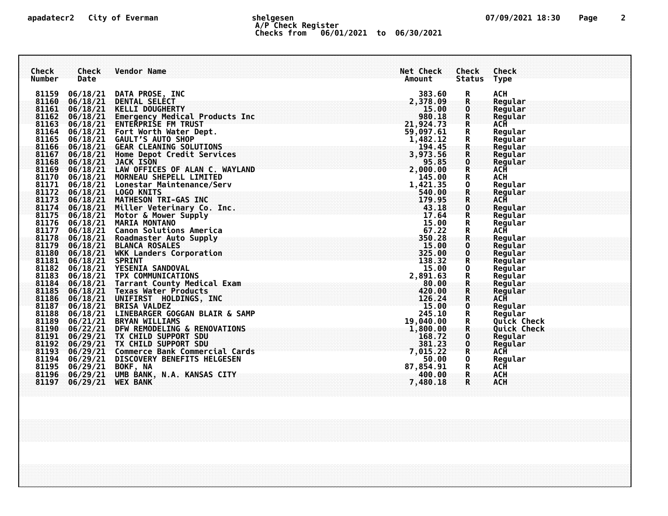# **apadatecr2 City of Everman shelgesen 07/09/2021 18:30 Page 2 A/P Check Register Checks from 06/01/2021 to 06/30/2021**

| Check<br><b>Number</b> | Check<br>Date | <b>Vendor Name</b>                                                                                                                                                                                                                            | Net Check<br>Amount  | Check<br><b>Status</b>       | Check<br><b>Type</b>  |
|------------------------|---------------|-----------------------------------------------------------------------------------------------------------------------------------------------------------------------------------------------------------------------------------------------|----------------------|------------------------------|-----------------------|
| 81159                  |               | 06/18/21 DATA PROSE, INC                                                                                                                                                                                                                      | 383.60               | R                            | <b>ACH</b>            |
| 81160                  |               | 06/18/21 DENTAL SELÉCT                                                                                                                                                                                                                        | 2,378.09             | $\mathbf R$                  | Regular               |
| 81161                  |               | 06/18/21 KELLI DOUGHERTY                                                                                                                                                                                                                      | 15.00<br>980.18      | $\mathbf{0}$<br>$\mathsf{R}$ | Regular<br>Regular    |
|                        |               | 81162 06/18/21 Emergency Medical Products Inc.<br>81163 06/18/21 ENTERPRISE FM TRUST                                                                                                                                                          | 21,924.73            | $\mathbf R$                  | <b>ACH</b>            |
| 81164                  |               | 06/18/21 Fort Worth Water Dept.                                                                                                                                                                                                               | 59,097.61            |                              | Regular               |
| 81165                  |               | 06/18/21 GAULT'S AUTO SHOP                                                                                                                                                                                                                    | 1,482.12             | R<br>R                       | Regular               |
|                        |               | 81166 06/18/21 GEAR CLEANING SOLUTIONS                                                                                                                                                                                                        | 194.45               | $\mathbf R$                  | Regular               |
|                        |               | 81167 06/18/21 Home Depot Credit Services                                                                                                                                                                                                     | 3,973.56             | $\mathbf R$                  | Regular               |
| 81168                  |               | 06/18/21 JACK ISON<br>81169 06/18/21 LAW OFFICES OF ALAN C. WAYLAND                                                                                                                                                                           | 95.85                | $\frac{0}{R}$                | Regular<br><b>ACH</b> |
|                        |               | 81170 06/18/21 MORNEAU SHEPELL LIMITED                                                                                                                                                                                                        | $2,000.00$<br>145.00 | R                            | <b>ACH</b>            |
| 81171                  |               | 06/18/21 Lonestar Maintenance/Serv                                                                                                                                                                                                            |                      | 0                            | Regular               |
|                        |               | 81172 06/18/21 LOGO KNITS                                                                                                                                                                                                                     | 1,421.35<br>540.00   | R                            | Regular               |
|                        |               | 81173 06/18/21 MATHESON TRI-GAS INC                                                                                                                                                                                                           | 179.95               | ${\bf R}$                    | <b>ACH</b>            |
|                        |               | 81174 06/18/21 Miller Veterinary Co. Inc.                                                                                                                                                                                                     | 43.18                | $\mathbf{0}$                 | Regular               |
|                        |               | 81175 06/18/21 Motor & Mower Supply                                                                                                                                                                                                           | 17.64                | R                            | Regular               |
|                        |               | 81176 06/18/21 MARIA MONTANO                                                                                                                                                                                                                  | 15.00<br>67.22       | R<br>R                       | Regular<br>ACĤ        |
|                        |               | 81177 06/18/21 Canon Solutions America<br>81178 06/18/21 Roadmaster Auto Supply                                                                                                                                                               | 350.28               | $\mathbf R$                  | Regular               |
| 81179                  |               | 06/18/21 BLANCA ROSALES                                                                                                                                                                                                                       | 15.00                | $\mathbf 0$                  | Regular               |
|                        |               | 81180 06/18/21 WKK Landers Corporation<br>81181 06/18/21 SPRINT                                                                                                                                                                               | 325.00               | $\mathbf 0$                  | Regular               |
|                        |               |                                                                                                                                                                                                                                               | 138.32               | R                            | Regular               |
| 81182                  |               | 06/18/21 YESENIA SANDOVAL                                                                                                                                                                                                                     | 15.00                | 0                            | Regular               |
| 81183                  |               | 06/18/21 TPX COMMUNICATIONS                                                                                                                                                                                                                   | 2,891.63<br>80.00    | $\mathbf{R}$                 | Regular               |
|                        |               | 81184 06/18/21 Tarrant County Medical Exam<br>81185 06/18/21 Texas Water Products                                                                                                                                                             | 420.00               | R                            | Regular<br>Regular    |
| 81186                  |               | 06/18/21 UNIFIRST HOLDINGS, INC                                                                                                                                                                                                               | 126.24               | $\mathbf R$                  | <b>ACH</b>            |
|                        |               | 81187 06/18/21 BRISA VALDEZ                                                                                                                                                                                                                   | 15.00                | $\mathbf{0}$                 | Regular               |
| 81188                  |               | 06/18/21 LINEBARGER GOGGAN BLAIR & SAMP                                                                                                                                                                                                       | 245.10               | R                            | Regular               |
|                        |               |                                                                                                                                                                                                                                               | 19,040.00            | R                            | Quick Check           |
|                        |               | 81189 06/21/21 BRYAN WILLIAMS<br>81190 06/22/21 DFW REMODELING & RENOVATIONS<br>81191 06/29/21 TX CHILD SUPPORT SDU<br>81192 06/29/21 TX CHILD SUPPORT SDU<br>81193 06/29/21 Commerce Bank Commercial Cards<br>81193 06/29/21 Commerce Bank C | 1,800.00             | $\mathbf R$                  | <b>Quick Check</b>    |
|                        |               |                                                                                                                                                                                                                                               | 168.72               | $\mathbf 0$                  | Regular               |
|                        |               |                                                                                                                                                                                                                                               | 381.23<br>7,015.22   | $\frac{0}{R}$                | Regular<br><b>ACH</b> |
| 81194                  |               | 06/29/21 DISCOVERY BENEFITS HELGESEN                                                                                                                                                                                                          | 50.00                | 0                            | Regular               |
|                        |               |                                                                                                                                                                                                                                               | 87,854.91            | $\overline{\mathbf{R}}$      | ACĤ                   |
|                        |               |                                                                                                                                                                                                                                               | 400.00               | $\mathbf R$                  | <b>ACH</b>            |
| 81197                  | 06/29/21      | <b>WEX BANK</b>                                                                                                                                                                                                                               | 7,480.18             | R                            | <b>ACH</b>            |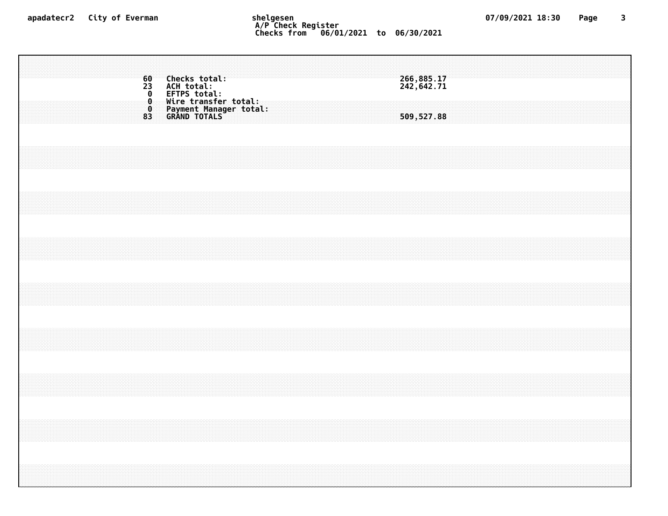### **apadatecr2 City of Everman shelgesen 07/09/2021 18:30 Page 3 A/P Check Register Checks from 06/01/2021 to 06/30/2021**

 **Checks total: 266,885.17 ACH total: 242,642.71 0 EFTPS total: Wire transfer total: Payment Manager total: GRAND TOTALS 509,527.88**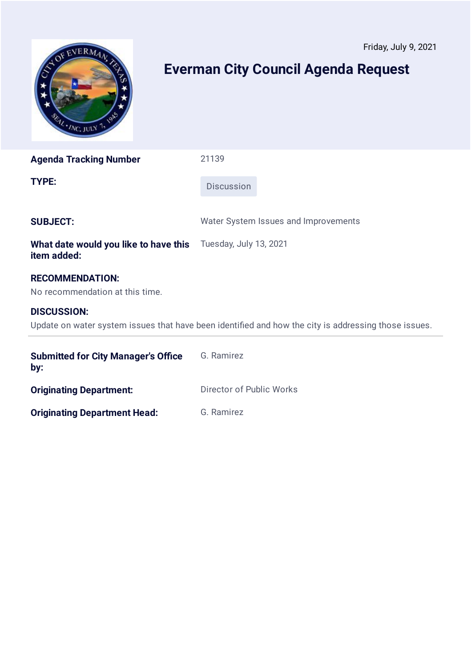<span id="page-16-0"></span>

**Agenda Tracking Number** 21139

**TYPE:** Discussion

**SUBJECT:** Water System Issues and Improvements

**What date would you like to have this item added:** Tuesday, July 13, 2021

## **RECOMMENDATION:**

No recommendation at this time.

## **DISCUSSION:**

Update on water system issues that have been identified and how the city is addressing those issues.

| <b>Submitted for City Manager's Office</b><br>by: | G. Ramirez               |
|---------------------------------------------------|--------------------------|
| <b>Originating Department:</b>                    | Director of Public Works |
| <b>Originating Department Head:</b>               | G. Ramirez               |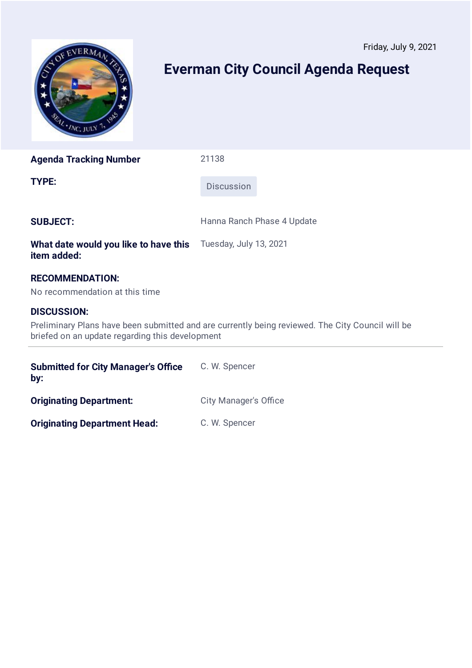<span id="page-17-0"></span>

**Agenda Tracking Number** 21138

**TYPE:** Discussion

**SUBJECT:** Hanna Ranch Phase 4 Update

**What date would you like to have this item added:** Tuesday, July 13, 2021

# **RECOMMENDATION:**

No recommendation at this time

# **DISCUSSION:**

Preliminary Plans have been submitted and are currently being reviewed. The City Council will be briefed on an update regarding this development

| <b>Submitted for City Manager's Office</b><br>by: | C. W. Spencer                |
|---------------------------------------------------|------------------------------|
| <b>Originating Department:</b>                    | <b>City Manager's Office</b> |
| <b>Originating Department Head:</b>               | C. W. Spencer                |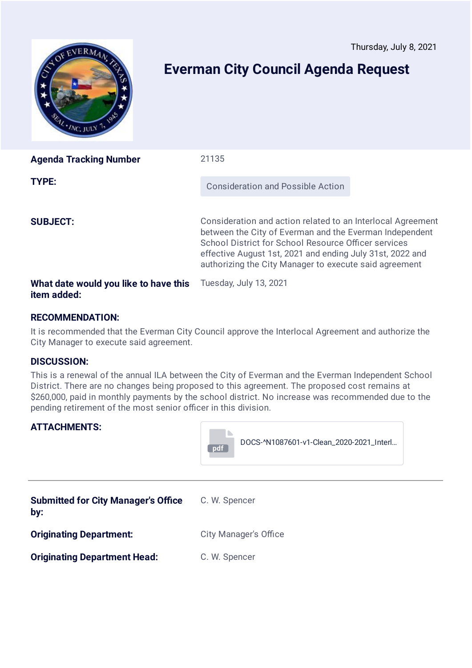<span id="page-18-0"></span>

| <b>Agenda Tracking Number</b>                        | 21135                                                                                                                                                                                                                                                                                                 |  |
|------------------------------------------------------|-------------------------------------------------------------------------------------------------------------------------------------------------------------------------------------------------------------------------------------------------------------------------------------------------------|--|
| TYPE:                                                | <b>Consideration and Possible Action</b>                                                                                                                                                                                                                                                              |  |
| <b>SUBJECT:</b>                                      | Consideration and action related to an Interlocal Agreement<br>between the City of Everman and the Everman Independent<br>School District for School Resource Officer services<br>effective August 1st, 2021 and ending July 31st, 2022 and<br>authorizing the City Manager to execute said agreement |  |
| What date would you like to have this<br>item added: | Tuesday, July 13, 2021                                                                                                                                                                                                                                                                                |  |

## **RECOMMENDATION:**

It is recommended that the Everman City Council approve the Interlocal Agreement and authorize the City Manager to execute said agreement.

#### **DISCUSSION:**

This is a renewal of the annual ILA between the City of Everman and the Everman Independent School District. There are no changes being proposed to this agreement. The proposed cost remains at \$260,000, paid in monthly payments by the school district. No increase was recommended due to the pending retirement of the most senior officer in this division.



| <b>Submitted for City Manager's Office</b><br>by: | C. W. Spencer                |
|---------------------------------------------------|------------------------------|
| <b>Originating Department:</b>                    | <b>City Manager's Office</b> |
| <b>Originating Department Head:</b>               | C. W. Spencer                |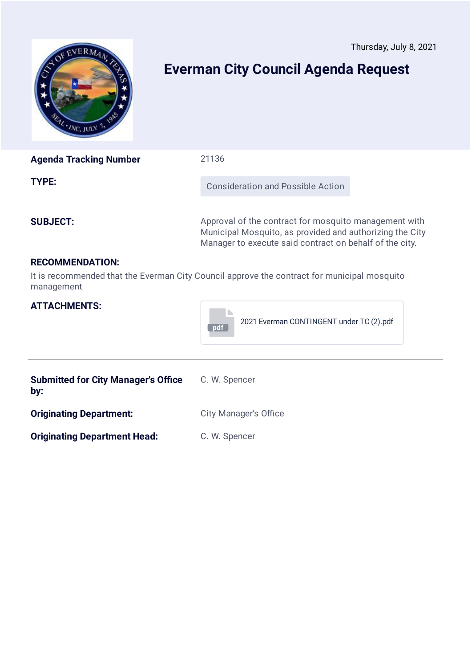Thursday, July 8, 2021

<span id="page-19-0"></span>

# **Everman City Council Agenda Request**

| <b>Agenda Tracking Number</b> | 21136                                                                                                                                                                        |  |
|-------------------------------|------------------------------------------------------------------------------------------------------------------------------------------------------------------------------|--|
| TYPE:                         | <b>Consideration and Possible Action</b>                                                                                                                                     |  |
| <b>SUBJECT:</b>               | Approval of the contract for mosquito management with<br>Municipal Mosquito, as provided and authorizing the City<br>Manager to execute said contract on behalf of the city. |  |
| <b>RECOMMENDATION:</b>        |                                                                                                                                                                              |  |
| management                    | It is recommended that the Everman City Council approve the contract for municipal mosquito                                                                                  |  |

| <b>ATTACHMENTS:</b>                               | 2021 Everman CONTINGENT under TC (2).pdf<br>pdf |  |
|---------------------------------------------------|-------------------------------------------------|--|
| <b>Submitted for City Manager's Office</b><br>by: | C. W. Spencer                                   |  |
| <b>Originating Department:</b>                    | <b>City Manager's Office</b>                    |  |
| <b>Originating Department Head:</b>               | C. W. Spencer                                   |  |
|                                                   |                                                 |  |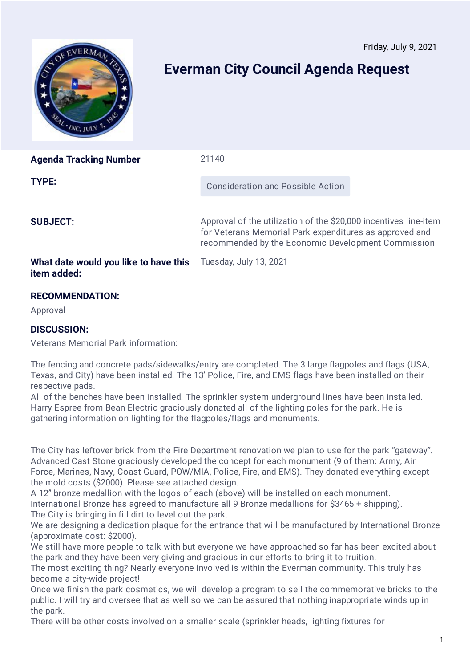<span id="page-20-0"></span>

| <b>Agenda Tracking Number</b>                        | 21140                                                                                                                                                                             |  |
|------------------------------------------------------|-----------------------------------------------------------------------------------------------------------------------------------------------------------------------------------|--|
| TYPE:                                                | Consideration and Possible Action                                                                                                                                                 |  |
| <b>SUBJECT:</b>                                      | Approval of the utilization of the \$20,000 incentives line-item<br>for Veterans Memorial Park expenditures as approved and<br>recommended by the Economic Development Commission |  |
| What date would you like to have this<br>item added: | Tuesday, July 13, 2021                                                                                                                                                            |  |

# **RECOMMENDATION:**

Approval

## **DISCUSSION:**

Veterans Memorial Park information:

The fencing and concrete pads/sidewalks/entry are completed. The 3 large flagpoles and flags (USA, Texas, and City) have been installed. The 13' Police, Fire, and EMS flags have been installed on their respective pads.

All of the benches have been installed. The sprinkler system underground lines have been installed. Harry Espree from Bean Electric graciously donated all of the lighting poles for the park. He is gathering information on lighting for the flagpoles/flags and monuments.

The City has leftover brick from the Fire Department renovation we plan to use for the park "gateway". Advanced Cast Stone graciously developed the concept for each monument (9 of them: Army, Air Force, Marines, Navy, Coast Guard, POW/MIA, Police, Fire, and EMS). They donated everything except the mold costs (\$2000). Please see attached design.

A 12" bronze medallion with the logos of each (above) will be installed on each monument. International Bronze has agreed to manufacture all 9 Bronze medallions for \$3465 + shipping). The City is bringing in fill dirt to level out the park.

We are designing a dedication plaque for the entrance that will be manufactured by International Bronze (approximate cost: \$2000).

We still have more people to talk with but everyone we have approached so far has been excited about the park and they have been very giving and gracious in our efforts to bring it to fruition.

The most exciting thing? Nearly everyone involved is within the Everman community. This truly has become a city-wide project!

Once we finish the park cosmetics, we will develop a program to sell the commemorative bricks to the public. I will try and oversee that as well so we can be assured that nothing inappropriate winds up in the park.

There will be other costs involved on a smaller scale (sprinkler heads, lighting fixtures for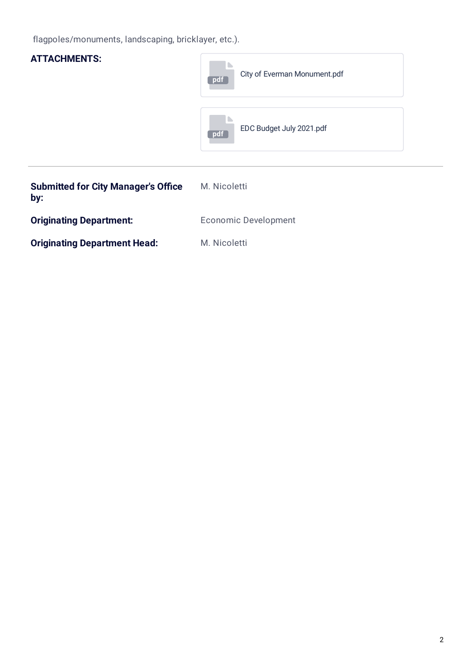flagpoles/monuments, landscaping, bricklayer, etc.).

| <b>ATTACHMENTS:</b>                               | City of Everman Monument.pdf<br>pdf |
|---------------------------------------------------|-------------------------------------|
|                                                   | EDC Budget July 2021.pdf<br>pdf     |
| <b>Submitted for City Manager's Office</b><br>by: | M. Nicoletti                        |
| <b>Originating Department:</b>                    | <b>Economic Development</b>         |
| <b>Originating Department Head:</b>               | M. Nicoletti                        |